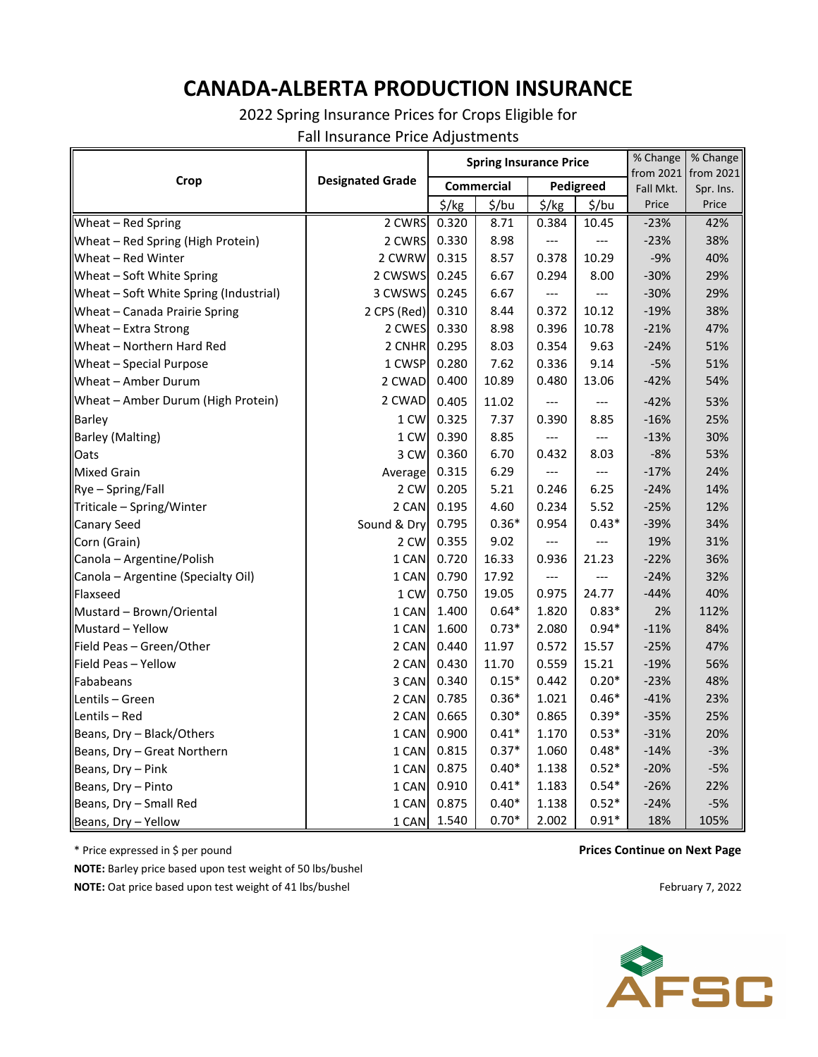## **CANADA-ALBERTA PRODUCTION INSURANCE**

2022 Spring Insurance Prices for Crops Eligible for

Fall Insurance Price Adjustments

|                                        | <b>Designated Grade</b> | <b>Spring Insurance Price</b> |         |                   |         | % Change  | % Change                         |
|----------------------------------------|-------------------------|-------------------------------|---------|-------------------|---------|-----------|----------------------------------|
| Crop                                   |                         | <b>Commercial</b>             |         | Pedigreed         |         | Fall Mkt. | from 2021 from 2021<br>Spr. Ins. |
|                                        |                         | $\frac{1}{2}$ /kg             | \$/bu   | $\frac{1}{2}$ /kg | \$/bu   | Price     | Price                            |
| Wheat - Red Spring                     | 2 CWRS                  | 0.320                         | 8.71    | 0.384             | 10.45   | $-23%$    | 42%                              |
| Wheat - Red Spring (High Protein)      | 2 CWRS                  | 0.330                         | 8.98    | ---               |         | $-23%$    | 38%                              |
| Wheat - Red Winter                     | 2 CWRW                  | 0.315                         | 8.57    | 0.378             | 10.29   | $-9%$     | 40%                              |
| Wheat - Soft White Spring              | 2 CWSWS                 | 0.245                         | 6.67    | 0.294             | 8.00    | $-30%$    | 29%                              |
| Wheat - Soft White Spring (Industrial) | 3 CWSWS                 | 0.245                         | 6.67    | $---$             |         | $-30%$    | 29%                              |
| Wheat - Canada Prairie Spring          | 2 CPS (Red)             | 0.310                         | 8.44    | 0.372             | 10.12   | $-19%$    | 38%                              |
| Wheat - Extra Strong                   | 2 CWES                  | 0.330                         | 8.98    | 0.396             | 10.78   | $-21%$    | 47%                              |
| Wheat - Northern Hard Red              | 2 CNHR                  | 0.295                         | 8.03    | 0.354             | 9.63    | $-24%$    | 51%                              |
| Wheat - Special Purpose                | 1 CWSP                  | 0.280                         | 7.62    | 0.336             | 9.14    | $-5%$     | 51%                              |
| Wheat - Amber Durum                    | 2 CWAD                  | 0.400                         | 10.89   | 0.480             | 13.06   | $-42%$    | 54%                              |
| Wheat - Amber Durum (High Protein)     | 2 CWAD                  | 0.405                         | 11.02   |                   |         | $-42%$    | 53%                              |
| <b>Barley</b>                          | 1 CW                    | 0.325                         | 7.37    | 0.390             | 8.85    | $-16%$    | 25%                              |
| <b>Barley (Malting)</b>                | 1 CW                    | 0.390                         | 8.85    | ---               |         | $-13%$    | 30%                              |
| Oats                                   | 3 CW                    | 0.360                         | 6.70    | 0.432             | 8.03    | $-8%$     | 53%                              |
| <b>Mixed Grain</b>                     | Average                 | 0.315                         | 6.29    |                   | $---$   | $-17%$    | 24%                              |
| Rye - Spring/Fall                      | 2 CW                    | 0.205                         | 5.21    | 0.246             | 6.25    | $-24%$    | 14%                              |
| Triticale - Spring/Winter              | 2 CAN                   | 0.195                         | 4.60    | 0.234             | 5.52    | $-25%$    | 12%                              |
| <b>Canary Seed</b>                     | Sound & Dry             | 0.795                         | $0.36*$ | 0.954             | $0.43*$ | $-39%$    | 34%                              |
| Corn (Grain)                           | 2 CW                    | 0.355                         | 9.02    |                   |         | 19%       | 31%                              |
| Canola - Argentine/Polish              | 1 CAN                   | 0.720                         | 16.33   | 0.936             | 21.23   | $-22%$    | 36%                              |
| Canola - Argentine (Specialty Oil)     | 1 CAN                   | 0.790                         | 17.92   |                   |         | $-24%$    | 32%                              |
| Flaxseed                               | 1 CW                    | 0.750                         | 19.05   | 0.975             | 24.77   | $-44%$    | 40%                              |
| Mustard - Brown/Oriental               | 1 CAN                   | 1.400                         | $0.64*$ | 1.820             | $0.83*$ | 2%        | 112%                             |
| Mustard - Yellow                       | 1 CAN                   | 1.600                         | $0.73*$ | 2.080             | $0.94*$ | $-11%$    | 84%                              |
| Field Peas - Green/Other               | 2 CAN                   | 0.440                         | 11.97   | 0.572             | 15.57   | $-25%$    | 47%                              |
| Field Peas - Yellow                    | 2 CAN                   | 0.430                         | 11.70   | 0.559             | 15.21   | $-19%$    | 56%                              |
| Fababeans                              | 3 CAN                   | 0.340                         | $0.15*$ | 0.442             | $0.20*$ | $-23%$    | 48%                              |
| Lentils - Green                        | 2 CAN                   | 0.785                         | $0.36*$ | 1.021             | $0.46*$ | $-41%$    | 23%                              |
| Lentils - Red                          | 2 CAN                   | 0.665                         | $0.30*$ | 0.865             | $0.39*$ | $-35%$    | 25%                              |
| Beans, Dry - Black/Others              | 1 CAN                   | 0.900                         | $0.41*$ | 1.170             | $0.53*$ | $-31%$    | 20%                              |
| Beans, Dry - Great Northern            | 1 CAN                   | 0.815                         | $0.37*$ | 1.060             | $0.48*$ | $-14%$    | $-3%$                            |
| Beans, Dry - Pink                      | 1 CAN                   | 0.875                         | $0.40*$ | 1.138             | $0.52*$ | $-20%$    | $-5%$                            |
| Beans, Dry - Pinto                     | 1 CAN                   | 0.910                         | $0.41*$ | 1.183             | $0.54*$ | $-26%$    | 22%                              |
| Beans, Dry - Small Red                 | 1 CAN                   | 0.875                         | $0.40*$ | 1.138             | $0.52*$ | $-24%$    | $-5%$                            |
| Beans, Dry - Yellow                    | 1 CAN                   | 1.540                         | $0.70*$ | 2.002             | $0.91*$ | 18%       | 105%                             |

\* Price expressed in \$ per pound

**NOTE:** Barley price based upon test weight of 50 lbs/bushel **NOTE:** Oat price based upon test weight of 41 lbs/bushel

## **Prices Continue on Next Page**

February 7, 2022